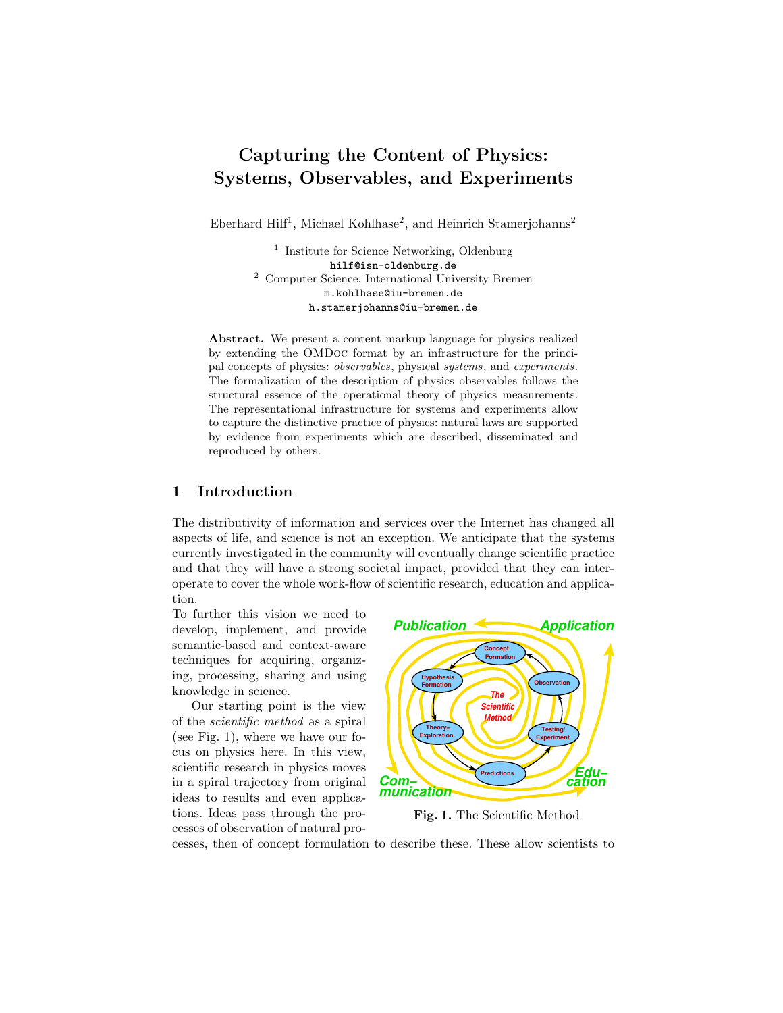# Capturing the Content of Physics: Systems, Observables, and Experiments

Eberhard Hilf<sup>1</sup>, Michael Kohlhase<sup>2</sup>, and Heinrich Stamerjohanns<sup>2</sup>

<sup>1</sup> Institute for Science Networking, Oldenburg hilf@isn-oldenburg.de <sup>2</sup> Computer Science, International University Bremen m.kohlhase@iu-bremen.de h.stamerjohanns@iu-bremen.de

Abstract. We present a content markup language for physics realized by extending the OMDoc format by an infrastructure for the principal concepts of physics: observables, physical systems, and experiments. The formalization of the description of physics observables follows the structural essence of the operational theory of physics measurements. The representational infrastructure for systems and experiments allow to capture the distinctive practice of physics: natural laws are supported by evidence from experiments which are described, disseminated and reproduced by others.

# 1 Introduction

The distributivity of information and services over the Internet has changed all aspects of life, and science is not an exception. We anticipate that the systems currently investigated in the community will eventually change scientific practice and that they will have a strong societal impact, provided that they can interoperate to cover the whole work-flow of scientific research, education and application.

To further this vision we need to develop, implement, and provide semantic-based and context-aware techniques for acquiring, organizing, processing, sharing and using knowledge in science.

Our starting point is the view of the scientific method as a spiral (see Fig. 1), where we have our focus on physics here. In this view, scientific research in physics moves in a spiral trajectory from original ideas to results and even applications. Ideas pass through the processes of observation of natural pro-



Fig. 1. The Scientific Method

cesses, then of concept formulation to describe these. These allow scientists to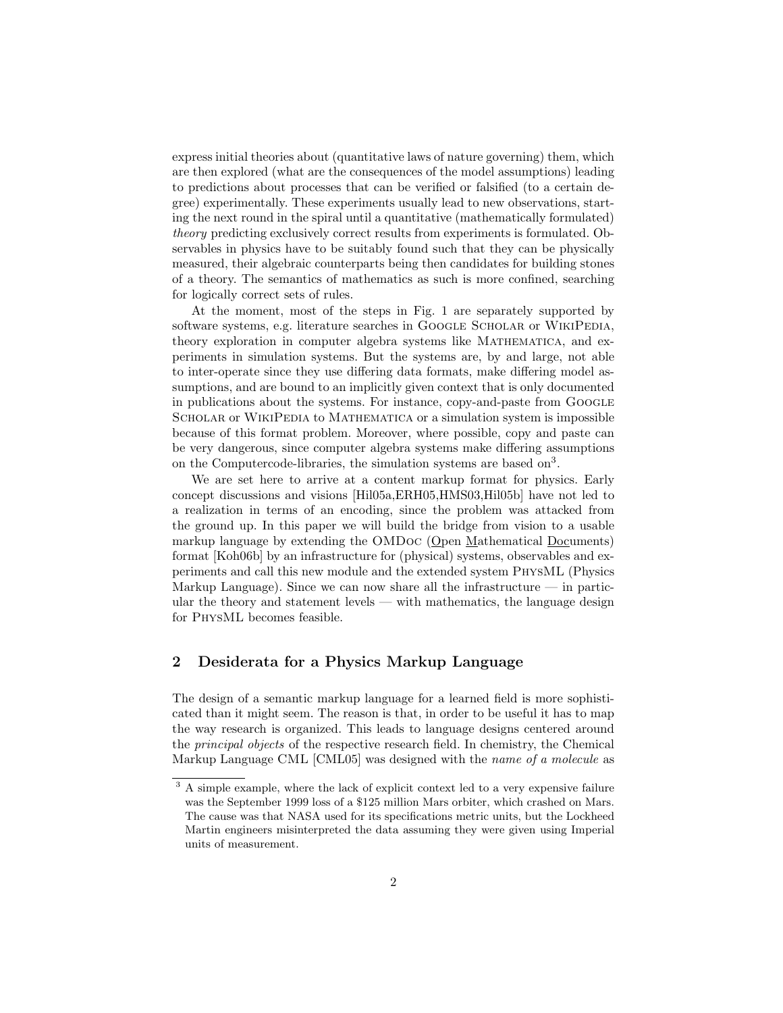express initial theories about (quantitative laws of nature governing) them, which are then explored (what are the consequences of the model assumptions) leading to predictions about processes that can be verified or falsified (to a certain degree) experimentally. These experiments usually lead to new observations, starting the next round in the spiral until a quantitative (mathematically formulated) theory predicting exclusively correct results from experiments is formulated. Observables in physics have to be suitably found such that they can be physically measured, their algebraic counterparts being then candidates for building stones of a theory. The semantics of mathematics as such is more confined, searching for logically correct sets of rules.

At the moment, most of the steps in Fig. 1 are separately supported by software systems, e.g. literature searches in GOOGLE SCHOLAR or WIKIPEDIA, theory exploration in computer algebra systems like MATHEMATICA, and experiments in simulation systems. But the systems are, by and large, not able to inter-operate since they use differing data formats, make differing model assumptions, and are bound to an implicitly given context that is only documented in publications about the systems. For instance, copy-and-paste from GOOGLE SCHOLAR OF WIKIPEDIA to MATHEMATICA or a simulation system is impossible because of this format problem. Moreover, where possible, copy and paste can be very dangerous, since computer algebra systems make differing assumptions on the Computercode-libraries, the simulation systems are based on<sup>3</sup>.

We are set here to arrive at a content markup format for physics. Early concept discussions and visions [Hil05a,ERH05,HMS03,Hil05b] have not led to a realization in terms of an encoding, since the problem was attacked from the ground up. In this paper we will build the bridge from vision to a usable markup language by extending the OMDoc (Open Mathematical Documents) format [Koh06b] by an infrastructure for (physical) systems, observables and experiments and call this new module and the extended system PhysML (Physics Markup Language). Since we can now share all the infrastructure  $-$  in particular the theory and statement levels — with mathematics, the language design for PhysML becomes feasible.

### 2 Desiderata for a Physics Markup Language

The design of a semantic markup language for a learned field is more sophisticated than it might seem. The reason is that, in order to be useful it has to map the way research is organized. This leads to language designs centered around the principal objects of the respective research field. In chemistry, the Chemical Markup Language CML [CML05] was designed with the name of a molecule as

<sup>&</sup>lt;sup>3</sup> A simple example, where the lack of explicit context led to a very expensive failure was the September 1999 loss of a \$125 million Mars orbiter, which crashed on Mars. The cause was that NASA used for its specifications metric units, but the Lockheed Martin engineers misinterpreted the data assuming they were given using Imperial units of measurement.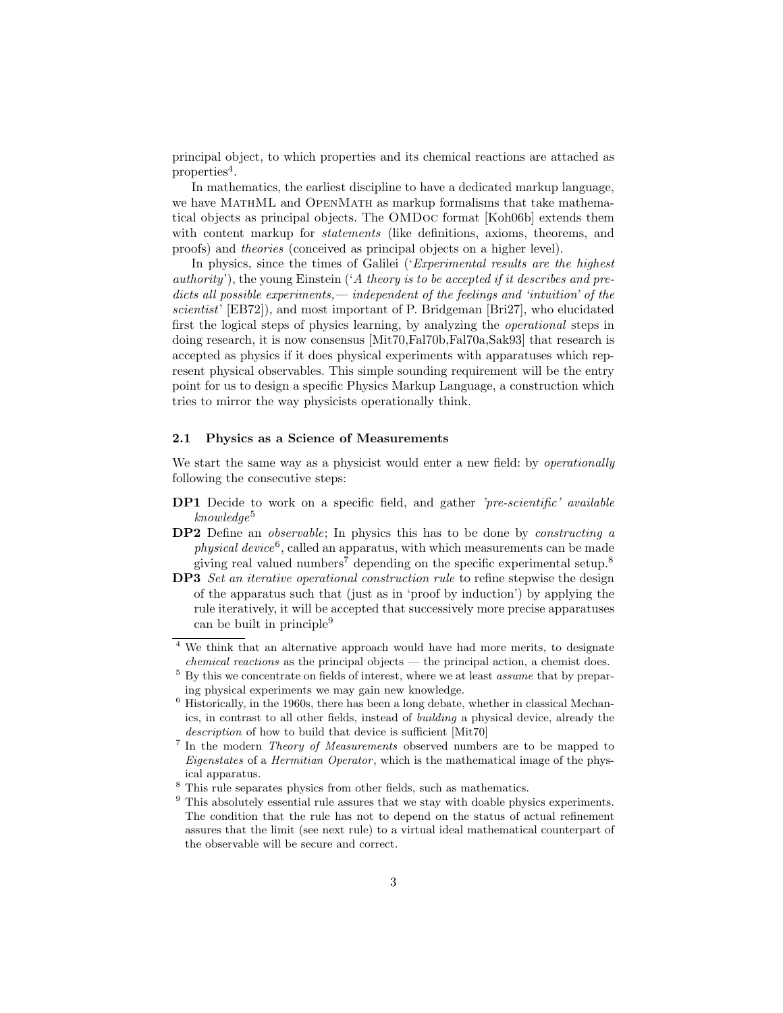principal object, to which properties and its chemical reactions are attached as  $proporties<sup>4</sup>$ .

In mathematics, the earliest discipline to have a dedicated markup language, we have MATHML and OPENMATH as markup formalisms that take mathematical objects as principal objects. The OMDoc format [Koh06b] extends them with content markup for *statements* (like definitions, axioms, theorems, and proofs) and theories (conceived as principal objects on a higher level).

In physics, since the times of Galilei ('Experimental results are the highest authority'), the young Einstein  $(A \text{ theory is to be accepted if it describes and pre-}$ dicts all possible experiments,— independent of the feelings and 'intuition' of the scientist' [EB72]), and most important of P. Bridgeman [Bri27], who elucidated first the logical steps of physics learning, by analyzing the operational steps in doing research, it is now consensus [Mit70,Fal70b,Fal70a,Sak93] that research is accepted as physics if it does physical experiments with apparatuses which represent physical observables. This simple sounding requirement will be the entry point for us to design a specific Physics Markup Language, a construction which tries to mirror the way physicists operationally think.

#### 2.1 Physics as a Science of Measurements

We start the same way as a physicist would enter a new field: by *operationally* following the consecutive steps:

- DP1 Decide to work on a specific field, and gather 'pre-scientific' available  $knowledge<sup>5</sup>$
- DP2 Define an *observable*; In physics this has to be done by *constructing a*  $physical$  device<sup>6</sup>, called an apparatus, with which measurements can be made giving real valued numbers<sup>7</sup> depending on the specific experimental setup.<sup>8</sup>
- DP3 Set an iterative operational construction rule to refine stepwise the design of the apparatus such that (just as in 'proof by induction') by applying the rule iteratively, it will be accepted that successively more precise apparatuses can be built in principle<sup>9</sup>

- $6$  Historically, in the 1960s, there has been a long debate, whether in classical Mechanics, in contrast to all other fields, instead of building a physical device, already the description of how to build that device is sufficient [Mit70]
- <sup>7</sup> In the modern *Theory of Measurements* observed numbers are to be mapped to Eigenstates of a Hermitian Operator, which is the mathematical image of the physical apparatus.
- <sup>8</sup> This rule separates physics from other fields, such as mathematics.
- <sup>9</sup> This absolutely essential rule assures that we stay with doable physics experiments. The condition that the rule has not to depend on the status of actual refinement assures that the limit (see next rule) to a virtual ideal mathematical counterpart of the observable will be secure and correct.

<sup>&</sup>lt;sup>4</sup> We think that an alternative approach would have had more merits, to designate *chemical reactions* as the principal objects — the principal action, a chemist does.

 $5$  By this we concentrate on fields of interest, where we at least *assume* that by preparing physical experiments we may gain new knowledge.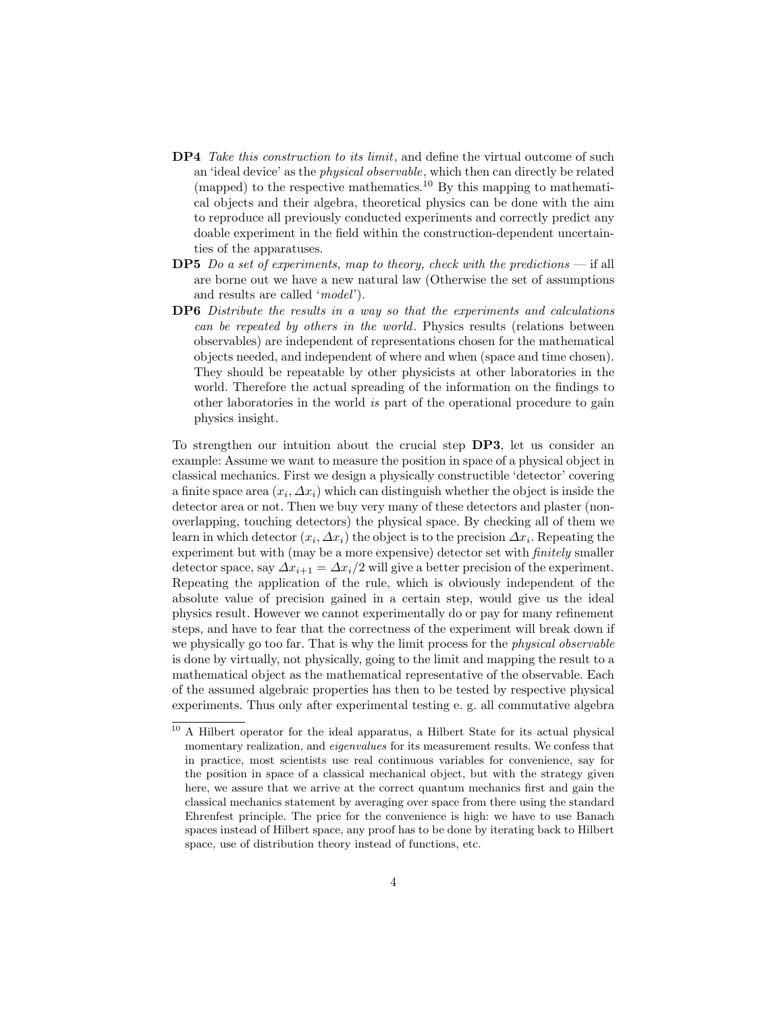- DP4 Take this construction to its limit, and define the virtual outcome of such an 'ideal device' as the physical observable, which then can directly be related (mapped) to the respective mathematics.<sup>10</sup> By this mapping to mathematical objects and their algebra, theoretical physics can be done with the aim to reproduce all previously conducted experiments and correctly predict any doable experiment in the field within the construction-dependent uncertainties of the apparatuses.
- **DP5** Do a set of experiments, map to theory, check with the predictions  $\frac{d}{dt}$  is all are borne out we have a new natural law (Otherwise the set of assumptions and results are called 'model').
- DP6 Distribute the results in a way so that the experiments and calculations can be repeated by others in the world. Physics results (relations between observables) are independent of representations chosen for the mathematical objects needed, and independent of where and when (space and time chosen). They should be repeatable by other physicists at other laboratories in the world. Therefore the actual spreading of the information on the findings to other laboratories in the world is part of the operational procedure to gain physics insight.

To strengthen our intuition about the crucial step DP3, let us consider an example: Assume we want to measure the position in space of a physical object in classical mechanics. First we design a physically constructible 'detector' covering a finite space area  $(x_i, \Delta x_i)$  which can distinguish whether the object is inside the detector area or not. Then we buy very many of these detectors and plaster (nonoverlapping, touching detectors) the physical space. By checking all of them we learn in which detector  $(x_i, \Delta x_i)$  the object is to the precision  $\Delta x_i$ . Repeating the experiment but with (may be a more expensive) detector set with finitely smaller detector space, say  $\Delta x_{i+1} = \Delta x_i/2$  will give a better precision of the experiment. Repeating the application of the rule, which is obviously independent of the absolute value of precision gained in a certain step, would give us the ideal physics result. However we cannot experimentally do or pay for many refinement steps, and have to fear that the correctness of the experiment will break down if we physically go too far. That is why the limit process for the *physical observable* is done by virtually, not physically, going to the limit and mapping the result to a mathematical object as the mathematical representative of the observable. Each of the assumed algebraic properties has then to be tested by respective physical experiments. Thus only after experimental testing e. g. all commutative algebra

 $\overline{^{10}$  A Hilbert operator for the ideal apparatus, a Hilbert State for its actual physical momentary realization, and eigenvalues for its measurement results. We confess that in practice, most scientists use real continuous variables for convenience, say for the position in space of a classical mechanical object, but with the strategy given here, we assure that we arrive at the correct quantum mechanics first and gain the classical mechanics statement by averaging over space from there using the standard Ehrenfest principle. The price for the convenience is high: we have to use Banach spaces instead of Hilbert space, any proof has to be done by iterating back to Hilbert space, use of distribution theory instead of functions, etc.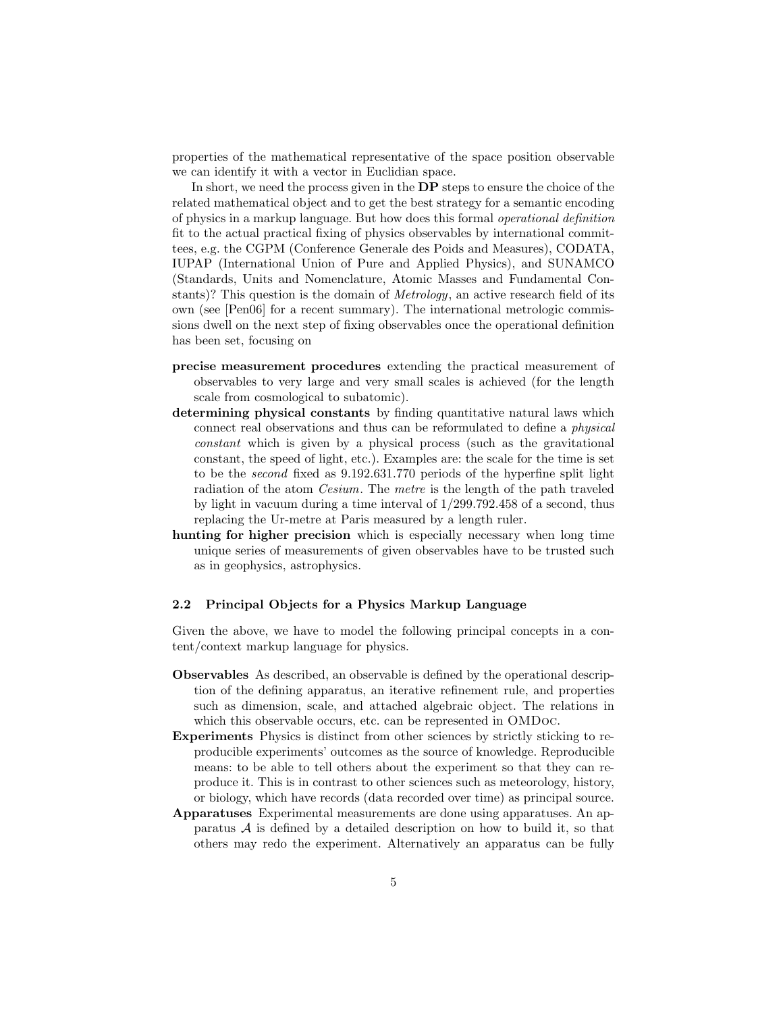properties of the mathematical representative of the space position observable we can identify it with a vector in Euclidian space.

In short, we need the process given in the DP steps to ensure the choice of the related mathematical object and to get the best strategy for a semantic encoding of physics in a markup language. But how does this formal operational definition fit to the actual practical fixing of physics observables by international committees, e.g. the CGPM (Conference Generale des Poids and Measures), CODATA, IUPAP (International Union of Pure and Applied Physics), and SUNAMCO (Standards, Units and Nomenclature, Atomic Masses and Fundamental Constants)? This question is the domain of *Metrology*, an active research field of its own (see [Pen06] for a recent summary). The international metrologic commissions dwell on the next step of fixing observables once the operational definition has been set, focusing on

- precise measurement procedures extending the practical measurement of observables to very large and very small scales is achieved (for the length scale from cosmological to subatomic).
- determining physical constants by finding quantitative natural laws which connect real observations and thus can be reformulated to define a physical constant which is given by a physical process (such as the gravitational constant, the speed of light, etc.). Examples are: the scale for the time is set to be the second fixed as 9.192.631.770 periods of the hyperfine split light radiation of the atom *Cesium*. The *metre* is the length of the path traveled by light in vacuum during a time interval of 1/299.792.458 of a second, thus replacing the Ur-metre at Paris measured by a length ruler.
- hunting for higher precision which is especially necessary when long time unique series of measurements of given observables have to be trusted such as in geophysics, astrophysics.

#### 2.2 Principal Objects for a Physics Markup Language

Given the above, we have to model the following principal concepts in a content/context markup language for physics.

- Observables As described, an observable is defined by the operational description of the defining apparatus, an iterative refinement rule, and properties such as dimension, scale, and attached algebraic object. The relations in which this observable occurs, etc. can be represented in OMDoc.
- Experiments Physics is distinct from other sciences by strictly sticking to reproducible experiments' outcomes as the source of knowledge. Reproducible means: to be able to tell others about the experiment so that they can reproduce it. This is in contrast to other sciences such as meteorology, history, or biology, which have records (data recorded over time) as principal source.
- Apparatuses Experimental measurements are done using apparatuses. An apparatus  $A$  is defined by a detailed description on how to build it, so that others may redo the experiment. Alternatively an apparatus can be fully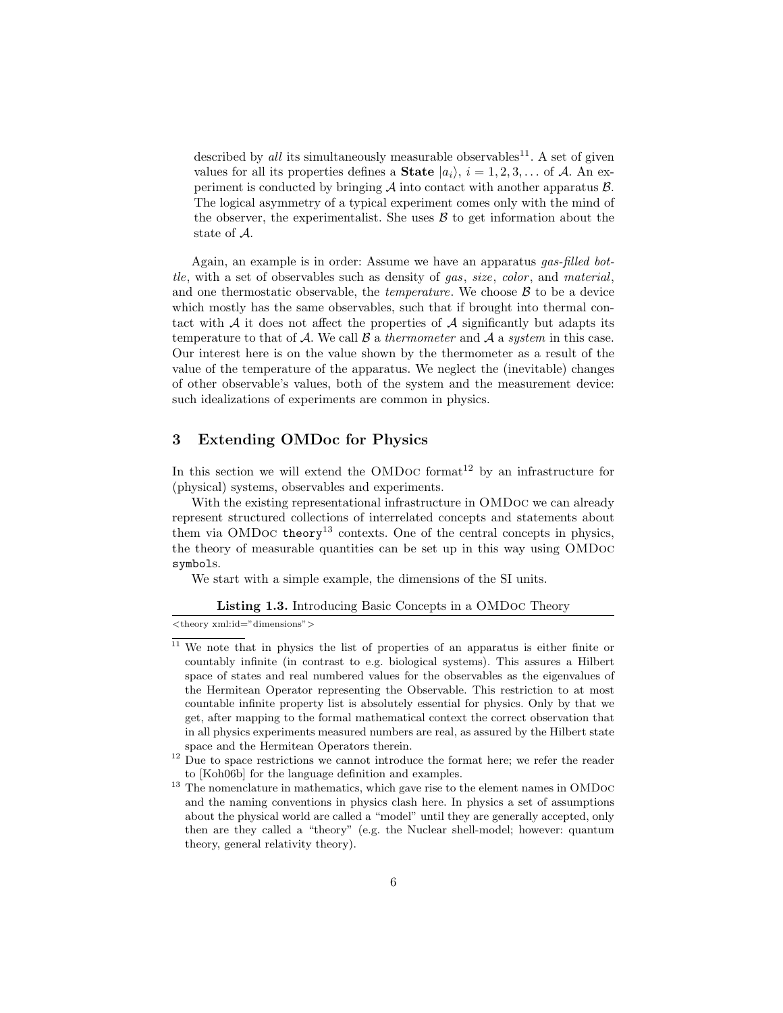described by all its simultaneously measurable observables<sup>11</sup>. A set of given values for all its properties defines a **State**  $|a_i\rangle$ ,  $i = 1, 2, 3, \ldots$  of A. An experiment is conducted by bringing  $A$  into contact with another apparatus  $B$ . The logical asymmetry of a typical experiment comes only with the mind of the observer, the experimentalist. She uses  $\beta$  to get information about the state of A.

Again, an example is in order: Assume we have an apparatus gas-filled bottle, with a set of observables such as density of gas, size, color , and material, and one thermostatic observable, the *temperature*. We choose  $\beta$  to be a device which mostly has the same observables, such that if brought into thermal contact with  $A$  it does not affect the properties of  $A$  significantly but adapts its temperature to that of  $A$ . We call  $B$  a *thermometer* and  $A$  a *system* in this case. Our interest here is on the value shown by the thermometer as a result of the value of the temperature of the apparatus. We neglect the (inevitable) changes of other observable's values, both of the system and the measurement device: such idealizations of experiments are common in physics.

## 3 Extending OMDoc for Physics

In this section we will extend the OMDoc format<sup>12</sup> by an infrastructure for (physical) systems, observables and experiments.

With the existing representational infrastructure in OMDoc we can already represent structured collections of interrelated concepts and statements about them via  $OMDOC$  theory<sup>13</sup> contexts. One of the central concepts in physics, the theory of measurable quantities can be set up in this way using OMDoc symbols.

We start with a simple example, the dimensions of the SI units.

#### Listing 1.3. Introducing Basic Concepts in a OMDoc Theory

<theory xml:id="dimensions">

<sup>&</sup>lt;sup>11</sup> We note that in physics the list of properties of an apparatus is either finite or countably infinite (in contrast to e.g. biological systems). This assures a Hilbert space of states and real numbered values for the observables as the eigenvalues of the Hermitean Operator representing the Observable. This restriction to at most countable infinite property list is absolutely essential for physics. Only by that we get, after mapping to the formal mathematical context the correct observation that in all physics experiments measured numbers are real, as assured by the Hilbert state space and the Hermitean Operators therein.

<sup>&</sup>lt;sup>12</sup> Due to space restrictions we cannot introduce the format here; we refer the reader to [Koh06b] for the language definition and examples.

<sup>&</sup>lt;sup>13</sup> The nomenclature in mathematics, which gave rise to the element names in OMDoc and the naming conventions in physics clash here. In physics a set of assumptions about the physical world are called a "model" until they are generally accepted, only then are they called a "theory" (e.g. the Nuclear shell-model; however: quantum theory, general relativity theory).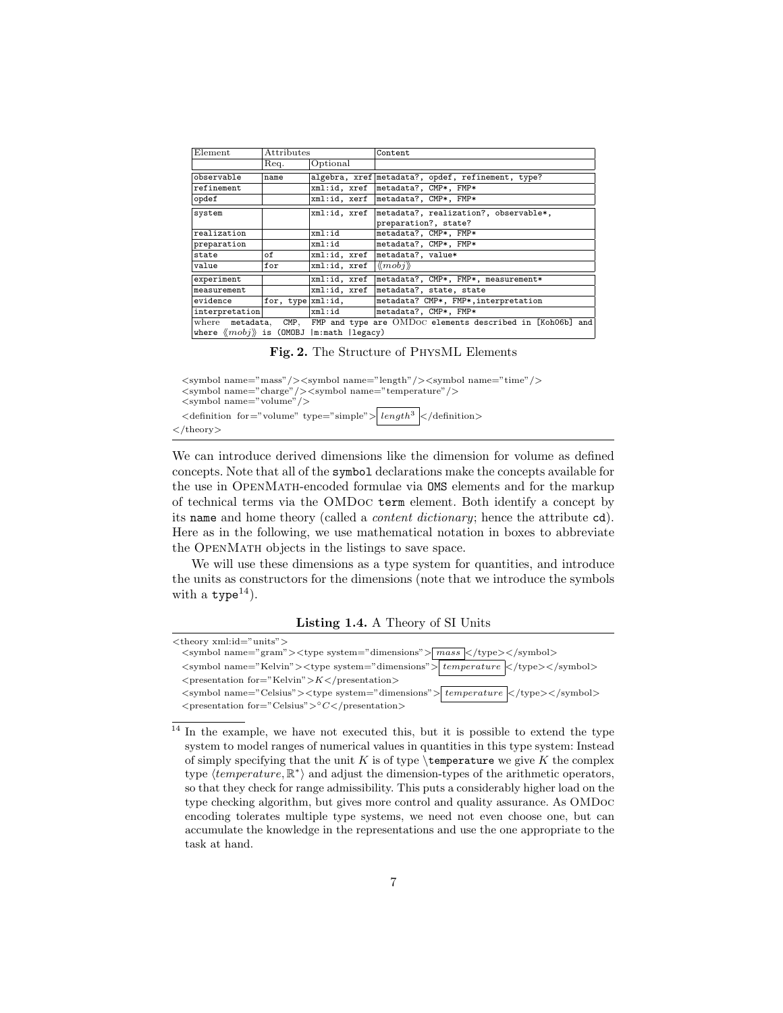| Element                                                                        | Attributes           |                                       | Content                                             |  |  |  |  |
|--------------------------------------------------------------------------------|----------------------|---------------------------------------|-----------------------------------------------------|--|--|--|--|
|                                                                                | Req.                 | Optional                              |                                                     |  |  |  |  |
| observable                                                                     | name                 |                                       | algebra, xref metadata?, opdef, refinement, type?   |  |  |  |  |
| refinement                                                                     |                      |                                       | xml:id, xref   metadata?, CMP*, FMP*                |  |  |  |  |
| opdef                                                                          |                      |                                       | xml:id, xerf   metadata?, CMP*, FMP*                |  |  |  |  |
| system                                                                         |                      |                                       | xml:id, xref  metadata?, realization?, observable*, |  |  |  |  |
|                                                                                |                      |                                       | preparation?, state?                                |  |  |  |  |
| realization                                                                    |                      | xml:id                                | metadata?, CMP*, FMP*                               |  |  |  |  |
| preparation                                                                    |                      | xml:id                                | metadata?, CMP*, FMP*                               |  |  |  |  |
| state                                                                          | оf                   | xml:id, xref                          | metadata?, value*                                   |  |  |  |  |
| value                                                                          | for                  | xml:id, xref $ \langle mobj \rangle $ |                                                     |  |  |  |  |
| experiment                                                                     |                      | xml:id, xref                          | metadata?, CMP*, FMP*, measurement*                 |  |  |  |  |
| measurement                                                                    |                      | xml:id, xref                          | metadata?, state, state                             |  |  |  |  |
| evidence                                                                       | for, type $xml:id$ , |                                       | metadata? CMP*, FMP*, interpretation                |  |  |  |  |
| interpretation                                                                 |                      | xml:id                                | metadata?, CMP*, FMP*                               |  |  |  |  |
| where metadata, CMP, FMP and type are OMDOC elements described in [Koh06b] and |                      |                                       |                                                     |  |  |  |  |
| where $\langle \langle mobj \rangle \rangle$ is (OMOBJ  m:math  legacy)        |                      |                                       |                                                     |  |  |  |  |

Fig. 2. The Structure of PhysML Elements

<symbol name="mass"/><symbol name="length"/><symbol name="time"/> <symbol name="charge"/><symbol name="temperature"/>  $\langle$ symbol name="volume"/>

 $\langle$  definition for="volume" type="simple"> length<sup>3</sup>  $\langle$  definition>  $\langle$ theory>

We can introduce derived dimensions like the dimension for volume as defined concepts. Note that all of the symbol declarations make the concepts available for the use in OpenMath-encoded formulae via OMS elements and for the markup of technical terms via the OMDoc term element. Both identify a concept by its name and home theory (called a content dictionary; hence the attribute cd). Here as in the following, we use mathematical notation in boxes to abbreviate the OpenMath objects in the listings to save space.

We will use these dimensions as a type system for quantities, and introduce the units as constructors for the dimensions (note that we introduce the symbols with a type $^{14}$ ).

Listing 1.4. A Theory of SI Units

| $lt>$ theory xml:id="units">                                                                                                                                                            |
|-----------------------------------------------------------------------------------------------------------------------------------------------------------------------------------------|
| $\langle$ <symbol name="gram"><math>\langle</math>type system="dimensions"&gt;  mass <math>\langle</math>/type&gt;<math>\langle</math>/symbol&gt;</symbol>                              |
| $\langle$ <symbol name="Kelvin"><math>\langle</math>type system="dimensions"&gt; <math>\langle</math> temperature <math>\langle</math>/type&gt;<math>\langle</math>/symbol&gt;</symbol> |
| $\langle$ presentation for="Kelvin">K $\langle$ /presentation>                                                                                                                          |
| $\langle$ symbol name="Celsius"> $\langle$ type system="dimensions"> $\langle$ temperature $\langle$ /type> $\langle$ /symbol>                                                          |
| $\langle$ presentation for="Celsius">°C $\langle$ /presentation>                                                                                                                        |
|                                                                                                                                                                                         |

 $\frac{14}{14}$  In the example, we have not executed this, but it is possible to extend the type system to model ranges of numerical values in quantities in this type system: Instead of simply specifying that the unit  $K$  is of type  $\text{temperature}$  we give  $K$  the complex type  $\langle temperature, \mathbb{R}^* \rangle$  and adjust the dimension-types of the arithmetic operators, so that they check for range admissibility. This puts a considerably higher load on the type checking algorithm, but gives more control and quality assurance. As OMDoc encoding tolerates multiple type systems, we need not even choose one, but can accumulate the knowledge in the representations and use the one appropriate to the task at hand.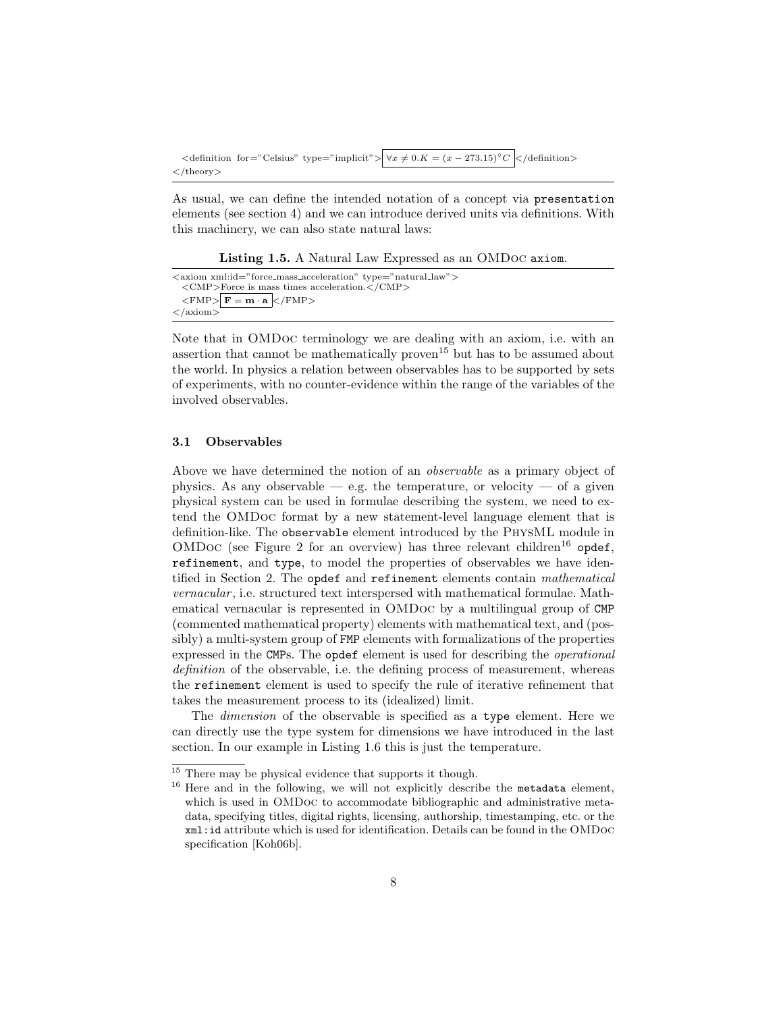|                    | $\langle$ definition for="Celsius" type="implicit"> $\forall x \neq 0. K = (x - 273.15)^{\circ} C$ $\langle$ definition> |  |  |
|--------------------|--------------------------------------------------------------------------------------------------------------------------|--|--|
| $\langle$ /theory> |                                                                                                                          |  |  |

As usual, we can define the intended notation of a concept via presentation elements (see section 4) and we can introduce derived units via definitions. With this machinery, we can also state natural laws:

Listing 1.5. A Natural Law Expressed as an OMDoc axiom.

| $\langle$ axiom xml:id="force_mass_acceleration" type="natural_law">                        |
|---------------------------------------------------------------------------------------------|
| $\langle \text{CMP} \rangle$ Force is mass times acceleration. $\langle \text{CMP} \rangle$ |
| $\langle FMP \rangle \mathbf{F} = \mathbf{m} \cdot \mathbf{a}$ $\langle FMP \rangle$        |
| $\langle$ /axiom $\rangle$                                                                  |

Note that in OMDoc terminology we are dealing with an axiom, i.e. with an assertion that cannot be mathematically proven<sup>15</sup> but has to be assumed about the world. In physics a relation between observables has to be supported by sets of experiments, with no counter-evidence within the range of the variables of the involved observables.

#### 3.1 Observables

Above we have determined the notion of an observable as a primary object of physics. As any observable — e.g. the temperature, or velocity — of a given physical system can be used in formulae describing the system, we need to extend the OMDoc format by a new statement-level language element that is definition-like. The observable element introduced by the PhysML module in OMDoc (see Figure 2 for an overview) has three relevant children<sup>16</sup> opdef, refinement, and type, to model the properties of observables we have identified in Section 2. The opdef and refinement elements contain mathematical *vernacular*, i.e. structured text interspersed with mathematical formulae. Mathematical vernacular is represented in OMDoc by a multilingual group of CMP (commented mathematical property) elements with mathematical text, and (possibly) a multi-system group of FMP elements with formalizations of the properties expressed in the CMPs. The opdef element is used for describing the operational definition of the observable, i.e. the defining process of measurement, whereas the refinement element is used to specify the rule of iterative refinement that takes the measurement process to its (idealized) limit.

The dimension of the observable is specified as a type element. Here we can directly use the type system for dimensions we have introduced in the last section. In our example in Listing 1.6 this is just the temperature.

<sup>&</sup>lt;sup>15</sup> There may be physical evidence that supports it though.

<sup>&</sup>lt;sup>16</sup> Here and in the following, we will not explicitly describe the metadata element, which is used in OMDoc to accommodate bibliographic and administrative metadata, specifying titles, digital rights, licensing, authorship, timestamping, etc. or the xml:id attribute which is used for identification. Details can be found in the OMDoc specification [Koh06b].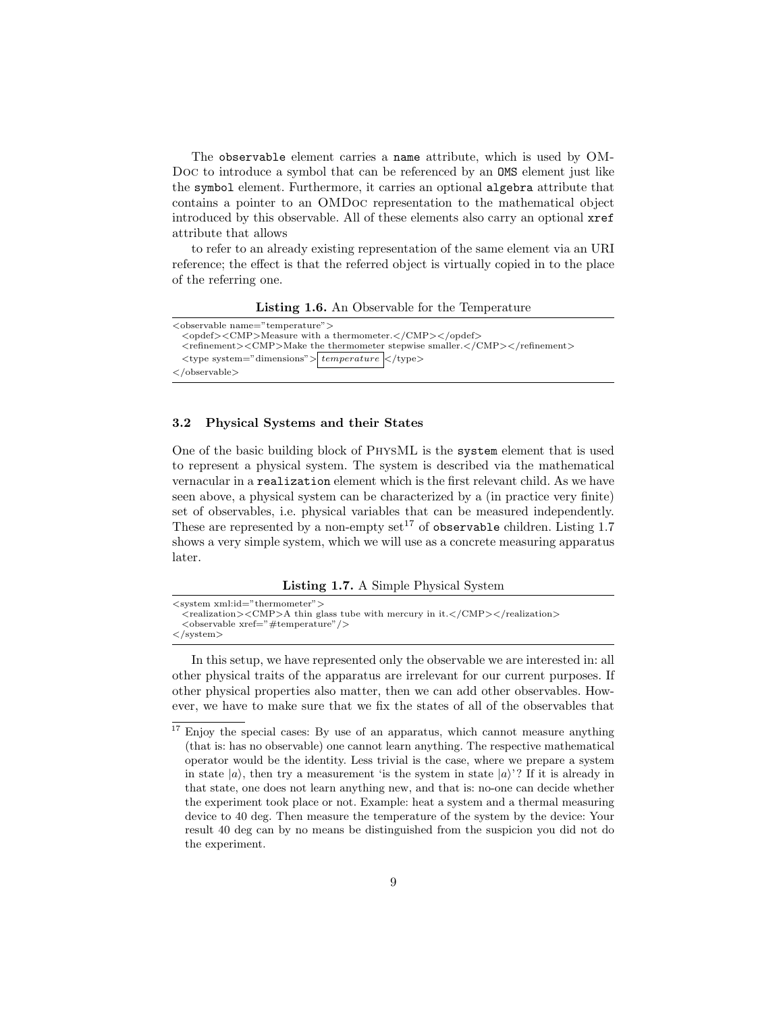The observable element carries a name attribute, which is used by OM-Doc to introduce a symbol that can be referenced by an **OMS** element just like the symbol element. Furthermore, it carries an optional algebra attribute that contains a pointer to an OMDoc representation to the mathematical object introduced by this observable. All of these elements also carry an optional xref attribute that allows

to refer to an already existing representation of the same element via an URI reference; the effect is that the referred object is virtually copied in to the place of the referring one.

Listing 1.6. An Observable for the Temperature

| $\langle$ observable name="temperature">                                                                                                               |  |  |  |  |  |
|--------------------------------------------------------------------------------------------------------------------------------------------------------|--|--|--|--|--|
| $\langle \text{opdef}\rangle \langle \text{CMP}\rangle$ Measure with a thermometer. $\langle \text{CMP}\rangle \langle \text{opdef}\rangle$            |  |  |  |  |  |
| $\langle$ refinement $\rangle$ $\langle$ CMP $\rangle$ Make the thermometer stepwise smaller. $\langle$ /CMP $\rangle$ $\langle$ /refinement $\rangle$ |  |  |  |  |  |
| $\langle$ type system="dimensions"> $\langle$ temperature $\langle$ type>                                                                              |  |  |  |  |  |
| $\langle$ /observable $\rangle$                                                                                                                        |  |  |  |  |  |

#### 3.2 Physical Systems and their States

One of the basic building block of PhysML is the system element that is used to represent a physical system. The system is described via the mathematical vernacular in a realization element which is the first relevant child. As we have seen above, a physical system can be characterized by a (in practice very finite) set of observables, i.e. physical variables that can be measured independently. These are represented by a non-empty set<sup>17</sup> of observable children. Listing  $1.7$ shows a very simple system, which we will use as a concrete measuring apparatus later.

Listing 1.7. A Simple Physical System

```
<system xml:id="thermometer">
  </realization><CMP>A thin glass tube with mercury in it.</CMP></realization>
  <observable xref="#temperature"/>
</system>
```
In this setup, we have represented only the observable we are interested in: all other physical traits of the apparatus are irrelevant for our current purposes. If other physical properties also matter, then we can add other observables. However, we have to make sure that we fix the states of all of the observables that

 $17$  Enjoy the special cases: By use of an apparatus, which cannot measure anything (that is: has no observable) one cannot learn anything. The respective mathematical operator would be the identity. Less trivial is the case, where we prepare a system in state  $|a\rangle$ , then try a measurement 'is the system in state  $|a\rangle$ '? If it is already in that state, one does not learn anything new, and that is: no-one can decide whether the experiment took place or not. Example: heat a system and a thermal measuring device to 40 deg. Then measure the temperature of the system by the device: Your result 40 deg can by no means be distinguished from the suspicion you did not do the experiment.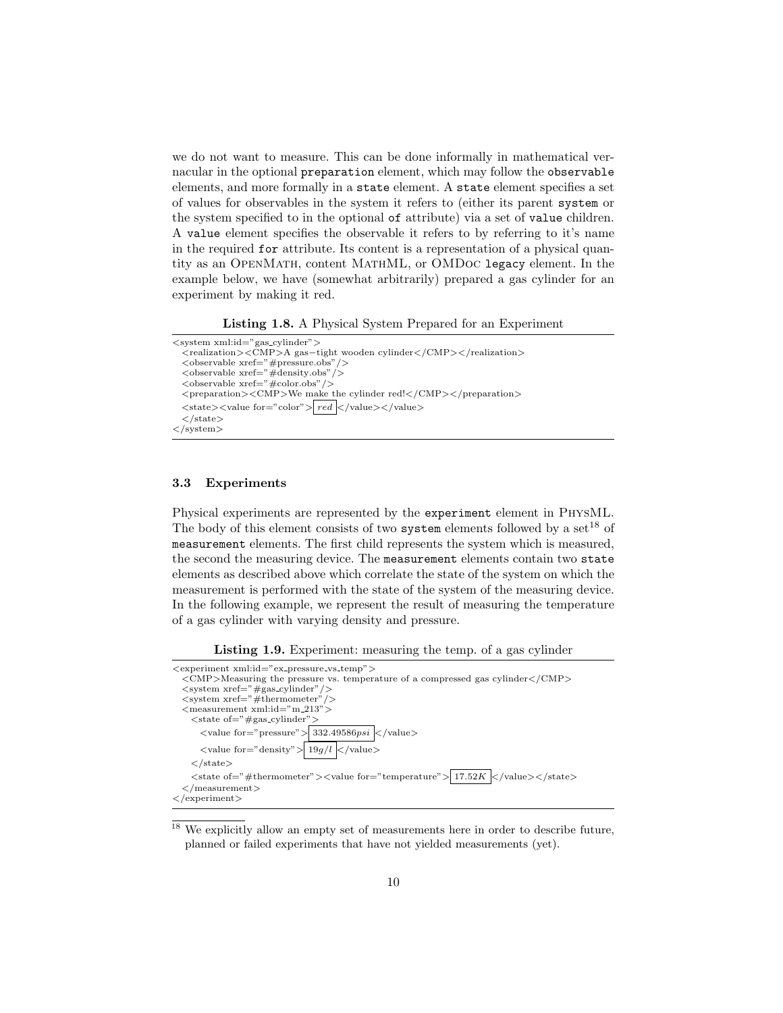we do not want to measure. This can be done informally in mathematical vernacular in the optional preparation element, which may follow the observable elements, and more formally in a state element. A state element specifies a set of values for observables in the system it refers to (either its parent system or the system specified to in the optional of attribute) via a set of value children. A value element specifies the observable it refers to by referring to it's name in the required for attribute. Its content is a representation of a physical quantity as an OpenMath, content MathML, or OMDoc legacy element. In the example below, we have (somewhat arbitrarily) prepared a gas cylinder for an experiment by making it red.

Listing 1.8. A Physical System Prepared for an Experiment

```
\langlesystem xml:id="gas_cylinder">
  <realization><CMP>A gas−tight wooden cylinder</CMP></realization>
  \langleobservable xref="#pressure.obs"/>
  \frac{1}{2} <br/>observable xref="#density.obs"/>
  <observable xref="#color.obs"/>
  <preparation><CMP>We make the cylinder red!</CMP></preparation>
  \langle \text{state}\rangle \langle \text{value for}=\text{"color"}\rangle \left|\text{red}\right.\langle \text{/value}\rangle \langle \text{/value}\rangle\langle/state\rangle\langle/system>
```
### 3.3 Experiments

Physical experiments are represented by the experiment element in PhysML. The body of this element consists of two system elements followed by a set<sup>18</sup> of measurement elements. The first child represents the system which is measured, the second the measuring device. The measurement elements contain two state elements as described above which correlate the state of the system on which the measurement is performed with the state of the system of the measuring device. In the following example, we represent the result of measuring the temperature of a gas cylinder with varying density and pressure.

Listing 1.9. Experiment: measuring the temp. of a gas cylinder

```
<experiment xml:id="ex_pressure_vs_temp">
  <CMP>Measuring the pressure vs. temperature of a compressed gas cylinder</CMP>
  \leqsystem xref="#gas_cylinder"/>
  \ltsystem xref="#thermometer"
  <measurement xml:id="m_213">
    \ltstate of="#gas_cylinder">
        \langle \text{value for} = \text{"pressure"} \rangle | 332.49586 \text{psi} | \langle \text{value} \rangle\langle \text{value for} = \text{``density''} > \text{19g/l} \langle \text{&} / \text{value} \rangle\langle/state\rangle\langle state of="#thermometer">\langle value for="temperature"> 17.52K \langle /value>\langle/state>
   \langle/measurement\rangle\langle/experiment>
```
 $18$  We explicitly allow an empty set of measurements here in order to describe future, planned or failed experiments that have not yielded measurements (yet).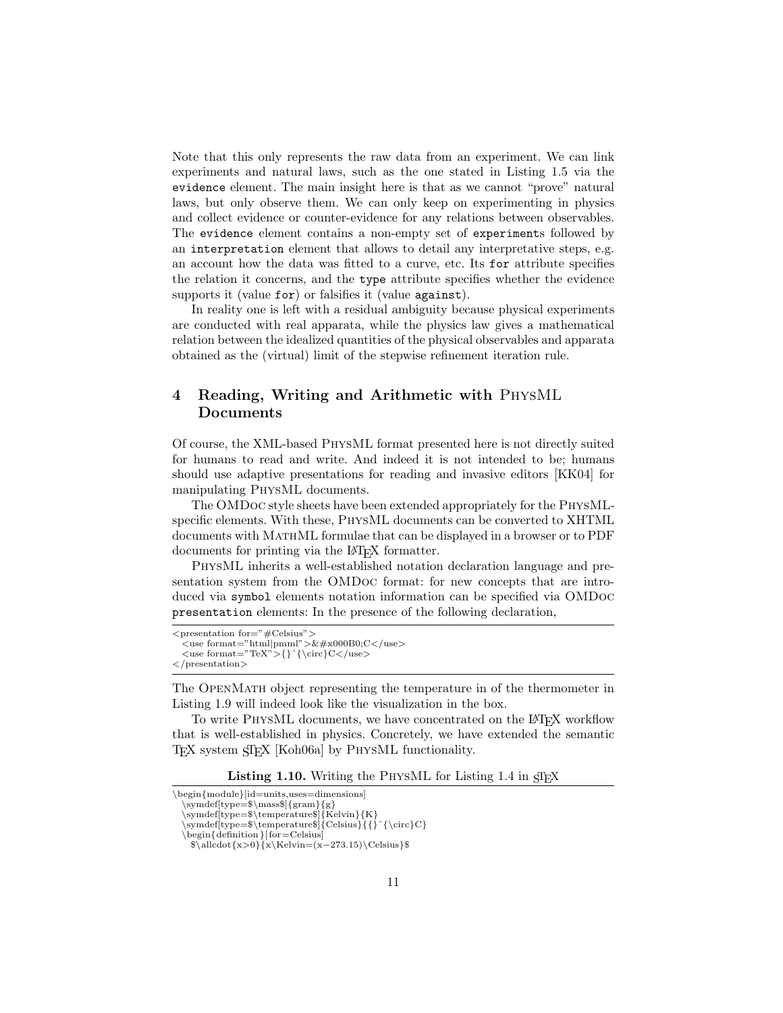Note that this only represents the raw data from an experiment. We can link experiments and natural laws, such as the one stated in Listing 1.5 via the evidence element. The main insight here is that as we cannot "prove" natural laws, but only observe them. We can only keep on experimenting in physics and collect evidence or counter-evidence for any relations between observables. The evidence element contains a non-empty set of experiments followed by an interpretation element that allows to detail any interpretative steps, e.g. an account how the data was fitted to a curve, etc. Its for attribute specifies the relation it concerns, and the type attribute specifies whether the evidence supports it (value for) or falsifies it (value against).

In reality one is left with a residual ambiguity because physical experiments are conducted with real apparata, while the physics law gives a mathematical relation between the idealized quantities of the physical observables and apparata obtained as the (virtual) limit of the stepwise refinement iteration rule.

# 4 Reading, Writing and Arithmetic with PhysML Documents

Of course, the XML-based PhysML format presented here is not directly suited for humans to read and write. And indeed it is not intended to be; humans should use adaptive presentations for reading and invasive editors [KK04] for manipulating PhysML documents.

The OMDoc style sheets have been extended appropriately for the PhysMLspecific elements. With these, PhysML documents can be converted to XHTML documents with MathML formulae that can be displayed in a browser or to PDF documents for printing via the LAT<sub>E</sub>X formatter.

PhysML inherits a well-established notation declaration language and presentation system from the OMDoc format: for new concepts that are introduced via symbol elements notation information can be specified via OMDoc presentation elements: In the presence of the following declaration,

```
\langlepresentation for="#Celsius">
  \langleuse format="html|pmml">°C\langle/use>
  <use format="TeX">{}ˆ{\circ}C</use>
\langle/presentation>
```
The OpenMath object representing the temperature in of the thermometer in Listing 1.9 will indeed look like the visualization in the box.

To write PhysML documents, we have concentrated on the LATEX workflow that is well-established in physics. Concretely, we have extended the semantic T<sub>EX</sub> system STEX [Koh06a] by PHYSML functionality.

Listing 1.10. Writing the PHYSML for Listing 1.4 in STEX

<sup>\</sup>begin{module}[id=units,uses=dimensions]

 $\sum_{e}$  \symdef[type=\$\mass\$]{gram}{g}

 $\sigma$ \symdef[type=\$\temperature\$]{Kelvin}{K}

<sup>\</sup>symdef[type=\$\temperature\$]{Celsius}{{}ˆ{\circ}C}  $\begin{bmatrix} \text{begin} \text{d}\end{bmatrix}$ 

 $\label{x>0}$ {x\Kelvin=(x-273.15)\Celsius}\$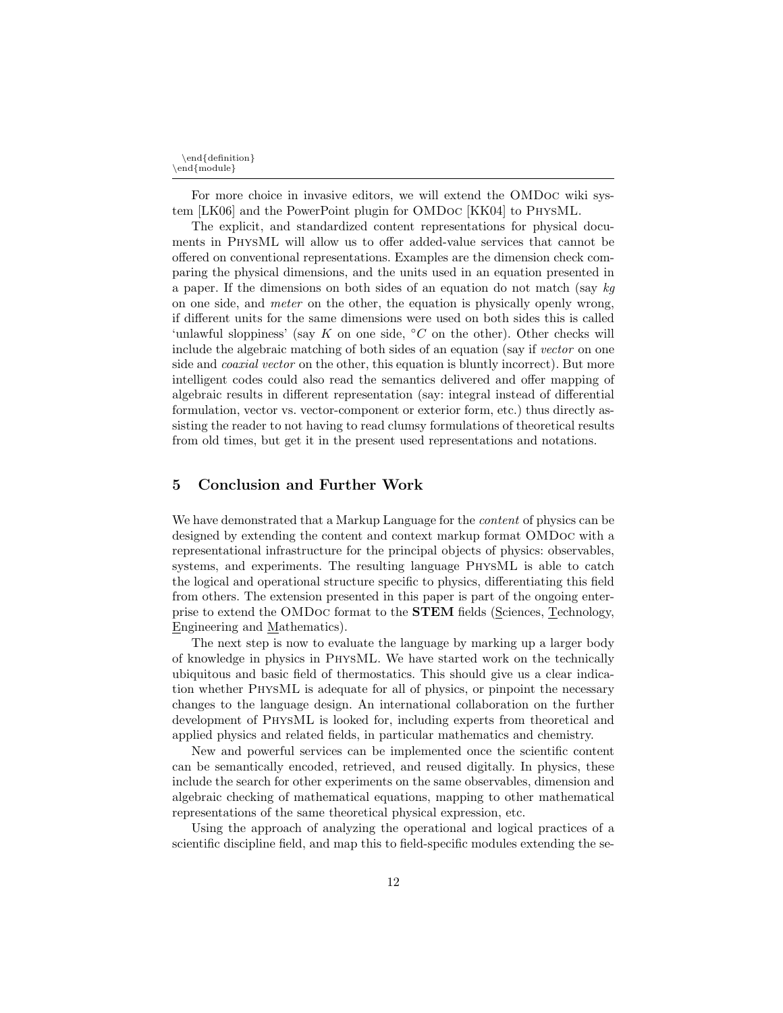\end{definition} \end{module}

For more choice in invasive editors, we will extend the OMDoc wiki system [LK06] and the PowerPoint plugin for OMDoc [KK04] to PhysML.

The explicit, and standardized content representations for physical documents in PhysML will allow us to offer added-value services that cannot be offered on conventional representations. Examples are the dimension check comparing the physical dimensions, and the units used in an equation presented in a paper. If the dimensions on both sides of an equation do not match (say  $kg$ on one side, and meter on the other, the equation is physically openly wrong, if different units for the same dimensions were used on both sides this is called 'unlawful sloppiness' (say K on one side,  $°C$  on the other). Other checks will include the algebraic matching of both sides of an equation (say if vector on one side and coaxial vector on the other, this equation is bluntly incorrect). But more intelligent codes could also read the semantics delivered and offer mapping of algebraic results in different representation (say: integral instead of differential formulation, vector vs. vector-component or exterior form, etc.) thus directly assisting the reader to not having to read clumsy formulations of theoretical results from old times, but get it in the present used representations and notations.

## 5 Conclusion and Further Work

We have demonstrated that a Markup Language for the *content* of physics can be designed by extending the content and context markup format OMDoc with a representational infrastructure for the principal objects of physics: observables, systems, and experiments. The resulting language PhysML is able to catch the logical and operational structure specific to physics, differentiating this field from others. The extension presented in this paper is part of the ongoing enterprise to extend the OMDoc format to the STEM fields (Sciences, Technology, Engineering and Mathematics).

The next step is now to evaluate the language by marking up a larger body of knowledge in physics in PhysML. We have started work on the technically ubiquitous and basic field of thermostatics. This should give us a clear indication whether PhysML is adequate for all of physics, or pinpoint the necessary changes to the language design. An international collaboration on the further development of PhysML is looked for, including experts from theoretical and applied physics and related fields, in particular mathematics and chemistry.

New and powerful services can be implemented once the scientific content can be semantically encoded, retrieved, and reused digitally. In physics, these include the search for other experiments on the same observables, dimension and algebraic checking of mathematical equations, mapping to other mathematical representations of the same theoretical physical expression, etc.

Using the approach of analyzing the operational and logical practices of a scientific discipline field, and map this to field-specific modules extending the se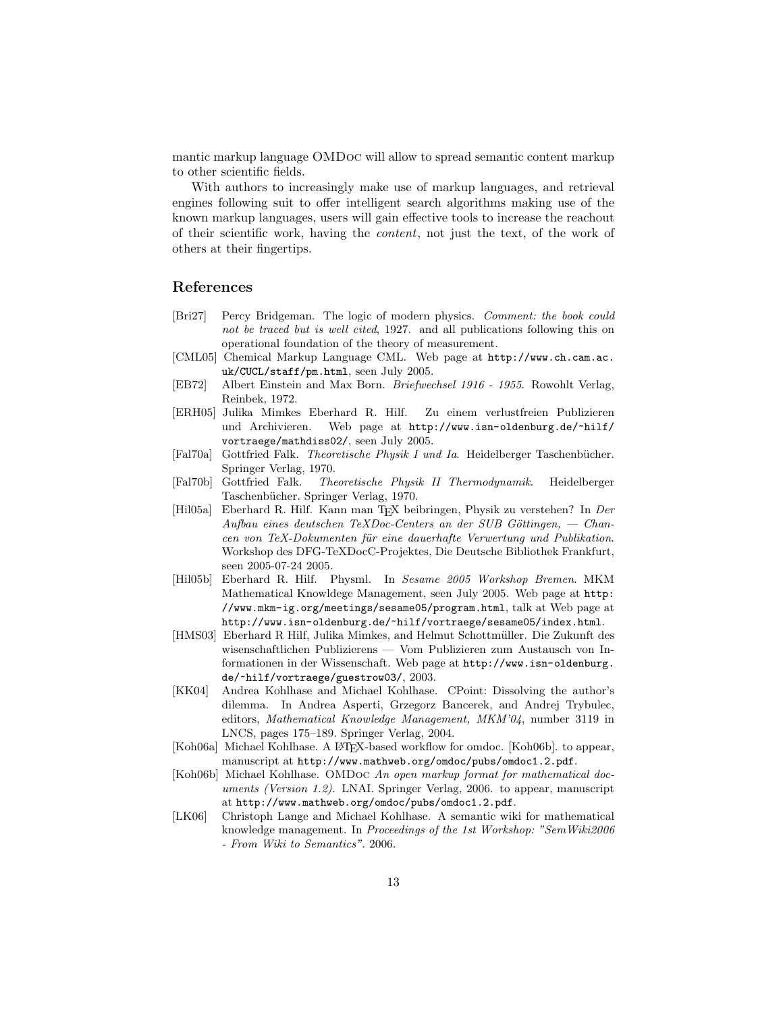mantic markup language OMDoc will allow to spread semantic content markup to other scientific fields.

With authors to increasingly make use of markup languages, and retrieval engines following suit to offer intelligent search algorithms making use of the known markup languages, users will gain effective tools to increase the reachout of their scientific work, having the content, not just the text, of the work of others at their fingertips.

### References

- [Bri27] Percy Bridgeman. The logic of modern physics. Comment: the book could not be traced but is well cited, 1927. and all publications following this on operational foundation of the theory of measurement.
- [CML05] Chemical Markup Language CML. Web page at http://www.ch.cam.ac. uk/CUCL/staff/pm.html, seen July 2005.
- [EB72] Albert Einstein and Max Born. Briefwechsel 1916 1955. Rowohlt Verlag, Reinbek, 1972.
- [ERH05] Julika Mimkes Eberhard R. Hilf. Zu einem verlustfreien Publizieren und Archivieren. Web page at http://www.isn-oldenburg.de/~hilf/ vortraege/mathdiss02/, seen July 2005.
- [Fal70a] Gottfried Falk. Theoretische Physik I und Ia. Heidelberger Taschenbücher. Springer Verlag, 1970.
- [Fal70b] Gottfried Falk. Theoretische Physik II Thermodynamik. Heidelberger Taschenbücher. Springer Verlag, 1970.
- [Hil05a] Eberhard R. Hilf. Kann man TEX beibringen, Physik zu verstehen? In Der  $Aufbau$  eines deutschen TeXDoc-Centers an der SUB Göttingen,  $-$  Chancen von TeX-Dokumenten für eine dauerhafte Verwertung und Publikation. Workshop des DFG-TeXDocC-Projektes, Die Deutsche Bibliothek Frankfurt, seen 2005-07-24 2005.
- [Hil05b] Eberhard R. Hilf. Physml. In Sesame 2005 Workshop Bremen. MKM Mathematical Knowldege Management, seen July 2005. Web page at http: //www.mkm-ig.org/meetings/sesame05/program.html, talk at Web page at http://www.isn-oldenburg.de/~hilf/vortraege/sesame05/index.html.
- [HMS03] Eberhard R Hilf, Julika Mimkes, and Helmut Schottmüller. Die Zukunft des wisenschaftlichen Publizierens — Vom Publizieren zum Austausch von Informationen in der Wissenschaft. Web page at http://www.isn-oldenburg. de/~hilf/vortraege/guestrow03/, 2003.
- [KK04] Andrea Kohlhase and Michael Kohlhase. CPoint: Dissolving the author's dilemma. In Andrea Asperti, Grzegorz Bancerek, and Andrej Trybulec, editors, Mathematical Knowledge Management, MKM'04, number 3119 in LNCS, pages 175–189. Springer Verlag, 2004.
- [Koh06a] Michael Kohlhase. A L<sup>A</sup>T<sub>E</sub>X-based workflow for omdoc. [Koh06b]. to appear, manuscript at http://www.mathweb.org/omdoc/pubs/omdoc1.2.pdf.
- [Koh06b] Michael Kohlhase. OMDoc An open markup format for mathematical documents (Version 1.2). LNAI. Springer Verlag, 2006. to appear, manuscript at http://www.mathweb.org/omdoc/pubs/omdoc1.2.pdf.
- [LK06] Christoph Lange and Michael Kohlhase. A semantic wiki for mathematical knowledge management. In Proceedings of the 1st Workshop: "SemWiki2006 - From Wiki to Semantics". 2006.